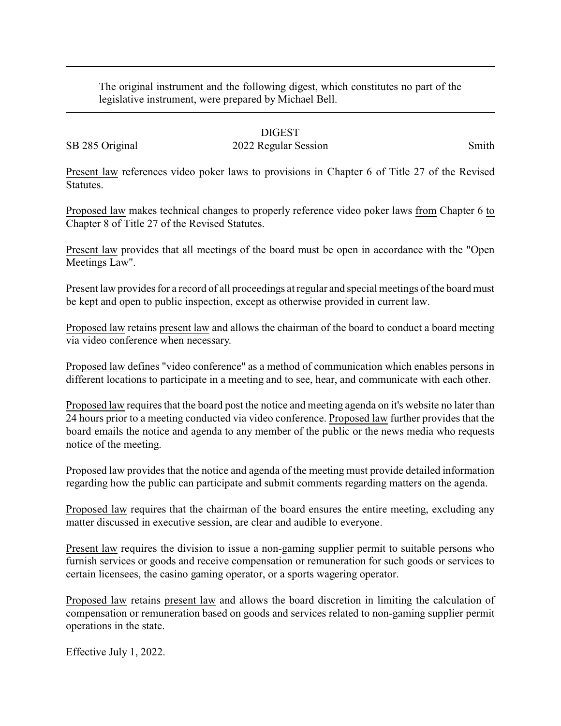The original instrument and the following digest, which constitutes no part of the legislative instrument, were prepared by Michael Bell.

## DIGEST

## SB 285 Original 2022 Regular Session Smith

Present law references video poker laws to provisions in Chapter 6 of Title 27 of the Revised Statutes.

Proposed law makes technical changes to properly reference video poker laws from Chapter 6 to Chapter 8 of Title 27 of the Revised Statutes.

Present law provides that all meetings of the board must be open in accordance with the "Open Meetings Law".

Present law provides for a record of all proceedings at regular and special meetings of the board must be kept and open to public inspection, except as otherwise provided in current law.

Proposed law retains present law and allows the chairman of the board to conduct a board meeting via video conference when necessary.

Proposed law defines "video conference" as a method of communication which enables persons in different locations to participate in a meeting and to see, hear, and communicate with each other.

Proposed law requires that the board post the notice and meeting agenda on it's website no later than 24 hours prior to a meeting conducted via video conference. Proposed law further provides that the board emails the notice and agenda to any member of the public or the news media who requests notice of the meeting.

Proposed law provides that the notice and agenda of the meeting must provide detailed information regarding how the public can participate and submit comments regarding matters on the agenda.

Proposed law requires that the chairman of the board ensures the entire meeting, excluding any matter discussed in executive session, are clear and audible to everyone.

Present law requires the division to issue a non-gaming supplier permit to suitable persons who furnish services or goods and receive compensation or remuneration for such goods or services to certain licensees, the casino gaming operator, or a sports wagering operator.

Proposed law retains present law and allows the board discretion in limiting the calculation of compensation or remuneration based on goods and services related to non-gaming supplier permit operations in the state.

Effective July 1, 2022.